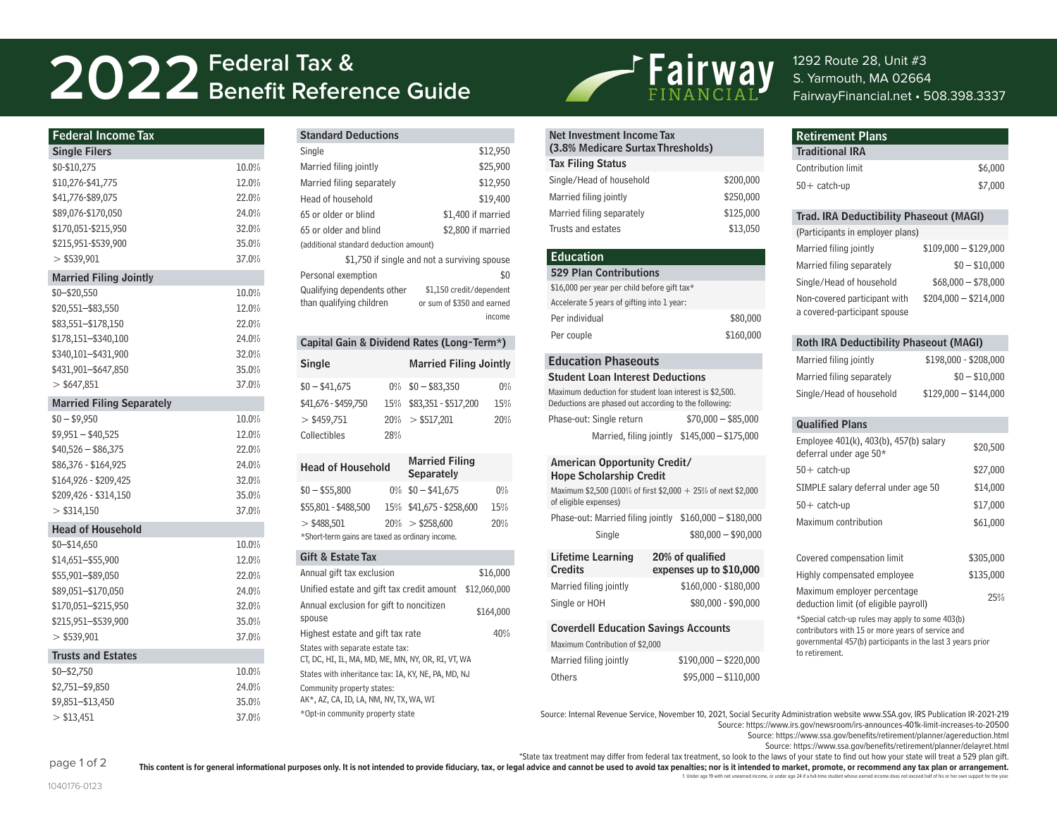# **Federal Tax & 2022 Benefit Reference Guide**

| <b>Federal Income Tax</b><br>Net Investment Income Tax<br><b>Standard Deductions</b>                                                                                                                            | <b>Retirement Plans</b>                                  |
|-----------------------------------------------------------------------------------------------------------------------------------------------------------------------------------------------------------------|----------------------------------------------------------|
| (3.8% Medicare Surtax Thresholds)<br>\$12,950<br><b>Single Filers</b><br>Single                                                                                                                                 | <b>Traditional IRA</b>                                   |
| <b>Tax Filing Status</b><br>\$25,900<br>\$0-\$10,275<br>10.0%<br>Married filing jointly                                                                                                                         | Contribution limit                                       |
| Single/Head of household<br>12.0%<br>\$10,276-\$41,775<br>\$12,950<br>Married filing separately                                                                                                                 | \$200,000<br>$50+$ catch-up                              |
| 22.0%<br>Married filing jointly<br>\$41,776-\$89,075<br>\$19,400<br>Head of household                                                                                                                           | \$250,000                                                |
| 24.0%<br>\$89,076-\$170,050<br>Married filing separately<br>65 or older or blind<br>\$1,400 if married                                                                                                          | \$125,000<br><b>Trad. IRA Deductibi</b>                  |
| 32.0%<br>\$170,051-\$215,950<br>Trusts and estates<br>65 or older and blind<br>\$2,800 if married                                                                                                               | \$13,050<br>(Participants in employe                     |
| 35.0%<br>\$215,951-\$539,900<br>(additional standard deduction amount)                                                                                                                                          | Married filing jointly                                   |
| <b>Education</b><br>37.0%<br>$>$ \$539,901<br>\$1,750 if single and not a surviving spouse                                                                                                                      | Married filing separatel                                 |
| <b>529 Plan Contributions</b><br>\$0<br>Personal exemption<br><b>Married Filing Jointly</b>                                                                                                                     |                                                          |
| \$16,000 per year per child before gift tax*<br>\$1,150 credit/dependent<br>Qualifying dependents other<br>10.0%<br>$$0 - $20,550$                                                                              | Single/Head of househ                                    |
| Accelerate 5 years of gifting into 1 year:<br>than qualifying children<br>or sum of \$350 and earned<br>\$20,551-\$83,550<br>12.0%                                                                              | Non-covered participan<br>a covered-participant sp       |
| income<br>Per individual<br>22.0%<br>\$83,551-\$178,150                                                                                                                                                         | \$80,000                                                 |
| Per couple<br>24.0%<br>\$178,151-\$340,100<br>Capital Gain & Dividend Rates (Long-Term*)                                                                                                                        | \$160,000<br><b>Roth IRA Deductibi</b>                   |
| 32.0%<br>\$340,101-\$431,900                                                                                                                                                                                    |                                                          |
| <b>Education Phaseouts</b><br><b>Single</b><br><b>Married Filing Jointly</b><br>\$431,901-\$647,850<br>35.0%                                                                                                    | Married filing jointly                                   |
| <b>Student Loan Interest Deductions</b><br>$>$ \$647,851<br>37.0%<br>$$0 - $41,675$<br>$0\%$ \$0 - \$83,350<br>$0\%$                                                                                            | Married filing separatel                                 |
| Maximum deduction for student loan interest is \$2,500.<br><b>Married Filing Separately</b><br>\$41,676 - \$459,750<br>15% \$83,351 - \$517,200<br>15%<br>Deductions are phased out according to the following: | Single/Head of househ                                    |
| $$0 - $9,950$<br>10.0%<br>$>$ \$459,751<br>$20\% > $517,201$<br>20%<br>Phase-out: Single return<br>$$70,000 - $85,000$                                                                                          | <b>Qualified Plans</b>                                   |
| $$9,951 - $40,525$<br>12.0%<br>Collectibles<br>28%<br>Married, filing jointly \$145,000 - \$175,000                                                                                                             | Employee 401(k), 403(b                                   |
| $$40,526 - $86,375$<br>22.0%                                                                                                                                                                                    | deferral under age 50*                                   |
| <b>Married Filing</b><br>American Opportunity Credit/<br>\$86,376 - \$164,925<br>24.0%<br><b>Head of Household</b>                                                                                              | $50+$ catch-up                                           |
| Separately<br><b>Hope Scholarship Credit</b><br>32.0%<br>\$164,926 - \$209,425                                                                                                                                  | SIMPLE salary deferral                                   |
| $$0 - $55,800$<br>$0\%$ \$0 - \$41,675<br>$0\%$<br>Maximum \$2,500 (100% of first \$2,000 + 25% of next \$2,000<br>35.0%<br>\$209,426 - \$314,150<br>of eligible expenses)                                      |                                                          |
| \$55,801 - \$488,500<br>15% \$41,675 - \$258,600<br>15%<br>$>$ \$314,150<br>37.0%<br>Phase-out: Married filing jointly \$160,000 - \$180,000                                                                    | $50+$ catch-up                                           |
| $20\% > $258,600$<br>20%<br>$>$ \$488,501<br><b>Head of Household</b><br>$$80,000 - $90,000$<br>Single                                                                                                          | Maximum contribution                                     |
| *Short-term gains are taxed as ordinary income.<br>$$0 - $14,650$<br>10.0%                                                                                                                                      |                                                          |
| Lifetime Learning<br>20% of qualified<br>Gift & Estate Tax<br>12.0%<br>\$14,651-\$55,900                                                                                                                        | Covered compensation                                     |
| <b>Credits</b><br>expenses up to \$10,000<br>Annual gift tax exclusion<br>\$16,000<br>22.0%<br>\$55,901-\$89,050                                                                                                | Highly compensated en                                    |
| Married filing jointly<br>$$160,000 - $180,000$<br>Unified estate and gift tax credit amount \$12,060,000<br>24.0%<br>\$89,051-\$170,050                                                                        | Maximum employer per                                     |
| Single or HOH<br>$$80,000 - $90,000$<br>32.0%<br>Annual exclusion for gift to noncitizen<br>\$170,051-\$215,950<br>\$164,000                                                                                    | deduction limit (of eligil                               |
| spouse<br>35.0%<br>\$215,951-\$539,900                                                                                                                                                                          | *Special catch-up rules ma                               |
| <b>Coverdell Education Savings Accounts</b><br>40%<br>Highest estate and gift tax rate<br>$>$ \$539,901<br>37.0%                                                                                                | contributors with 15 or mo<br>governmental 457(b) partio |
| Maximum Contribution of \$2,000<br>States with separate estate tax:<br><b>Trusts and Estates</b>                                                                                                                | to retirement.                                           |
| Married filing jointly<br>$$190,000 - $220,000$<br>CT, DC, HI, IL, MA, MD, ME, MN, NY, OR, RI, VT, WA<br>10.0%<br>$$0 - $2,750$                                                                                 |                                                          |
| States with inheritance tax: IA, KY, NE, PA, MD, NJ<br>Others<br>$$95,000 - $110,000$<br>\$2,751-\$9,850<br>24.0%<br>Community property states:                                                                 |                                                          |
| AK*, AZ, CA, ID, LA, NM, NV, TX, WA, WI<br>35.0%<br>\$9,851-\$13,450                                                                                                                                            |                                                          |

 $> $13,451$  37.0%

### Standard Deductions

| Standard Deductions                        |                                              |  |
|--------------------------------------------|----------------------------------------------|--|
| Single                                     | \$12,950                                     |  |
| Married filing jointly                     | \$25,900                                     |  |
| Married filing separately                  | \$12,950                                     |  |
| Head of household                          | \$19,400                                     |  |
| 65 or older or blind                       | \$1,400 if married                           |  |
| 65 or older and blind                      | \$2,800 if married                           |  |
| (additional standard deduction amount)     |                                              |  |
|                                            | \$1,750 if single and not a surviving spouse |  |
| Personal exemption                         | \$0                                          |  |
| Qualifying dependents other                | \$1,150 credit/dependent                     |  |
| than qualifying children                   | or sum of \$350 and earned                   |  |
|                                            | income                                       |  |
|                                            |                                              |  |
| Capital Gain & Dividend Rates (Long-Term*) |                                              |  |
| Single                                     | <b>Married Filing Jointly</b>                |  |
|                                            |                                              |  |

| Capital Gain & Dividend Rates (Long-Term^) |     |                               |     |
|--------------------------------------------|-----|-------------------------------|-----|
| <b>Single</b>                              |     | <b>Married Filing Jointly</b> |     |
| $$0 - $41,675$                             |     | $0\%$ \$0 - \$83,350          | 0%  |
| \$41,676 - \$459,750                       |     | 15% \$83,351 - \$517,200      | 15% |
| $>$ \$459.751                              |     | $20\% > $517,201$             | 20% |
| Collectibles                               | 28% |                               |     |

| <b>Head of Household</b>                        | <b>Married Filing</b><br>Separately |     |
|-------------------------------------------------|-------------------------------------|-----|
| $$0 - $55,800$                                  | $0\%$ \$0 - \$41,675                | 0%  |
| \$55,801 - \$488,500                            | 15% \$41,675 - \$258,600            | 15% |
| $>$ \$488,501                                   | $20\% > $258,600$                   | 20% |
| *Short-term gains are taxed as ordinary income. |                                     |     |

### Gift & Estate Tax

| Annual gift tax exclusion                                                              | \$16,000     |
|----------------------------------------------------------------------------------------|--------------|
| Unified estate and gift tax credit amount                                              | \$12,060,000 |
| Annual exclusion for gift to noncitizen<br>spouse                                      | \$164,000    |
| Highest estate and gift tax rate                                                       | 40%          |
| States with separate estate tax:<br>CT, DC, HI, IL, MA, MD, ME, MN, NY, OR, RI, VT, WA |              |
| States with inheritance tax: IA, KY, NE, PA, MD, NJ                                    |              |
| Community property states:<br>AK*, AZ, CA, ID, LA, NM, NV, TX, WA, WI                  |              |
| *Opt-in community property state                                                       |              |



### 1292 Route 28, Unit #3 S. Yarmouth, MA 02664 FairwayFinancial.net • 508.398.3337

| <b>Retirement Plans</b>                 |                       |
|-----------------------------------------|-----------------------|
| <b>Traditional IRA</b>                  |                       |
| Contribution limit                      | \$6,000               |
| $50+$ catch-up                          | \$7,000               |
|                                         |                       |
| Trad. IRA Deductibility Phaseout (MAGI) |                       |
| (Participants in employer plans)        |                       |
| Married filing jointly                  | $$109,000 - $129,000$ |
| Married filing separately               | $$0 - $10,000$        |

| Married filing separately    | $$0 - $10.000$        |
|------------------------------|-----------------------|
| Single/Head of household     | $$68,000 - $78,000$   |
| Non-covered participant with | $$204.000 - $214.000$ |
| a covered-participant spouse |                       |

### Roth IRA Deductibility Phaseout (MAGI)

| Married filing jointly    | \$198,000 - \$208,000 |
|---------------------------|-----------------------|
| Married filing separately | $$0 - $10,000$        |
| Single/Head of household  | $$129.000 - $144.000$ |

### Qualified Plans

| Employee 401(k), 403(b), 457(b) salary<br>deferral under age 50*                                                                                                                      | \$20,500  |
|---------------------------------------------------------------------------------------------------------------------------------------------------------------------------------------|-----------|
| $50+$ catch-up                                                                                                                                                                        | \$27,000  |
| SIMPLE salary deferral under age 50                                                                                                                                                   | \$14,000  |
| $50+$ catch-up                                                                                                                                                                        | \$17,000  |
| Maximum contribution                                                                                                                                                                  | \$61,000  |
|                                                                                                                                                                                       |           |
| Covered compensation limit                                                                                                                                                            | \$305,000 |
| Highly compensated employee                                                                                                                                                           | \$135,000 |
| Maximum employer percentage<br>deduction limit (of eligible payroll)                                                                                                                  | 25%       |
| *Special catch-up rules may apply to some 403(b)<br>contributors with 15 or more years of service and<br>governmental 457(b) participants in the last 3 years prior<br>to retirement. |           |

Source: Internal Revenue Service, November 10, 2021, Social Security Administration website www.SSA.gov, IRS Publication IR-2021-219 Source: https://www.irs.gov/newsroom/irs-announces-401k-limit-increases-to-20500

Source: https://www.ssa.gov/benefits/retirement/planner/agereduction.html

Source: https://www.ssa.gov/benefits/retirement/planner/delayret.html

\*State tax treatment may differ from federal tax treatment, so look to the laws of your state to find out how your state will treat a 529 plan gift.

This content is for general informational purposes only. It is not intended to provide fiduciary, tax, or legal advice and cannot be used to avoid tax penalties; nor is it intended to market, promote, or recommend any tax

1. Under age 19 with net unearned income, or under age 24 if a full-time student whose earned income does not exceed half of his or her own support for the year.